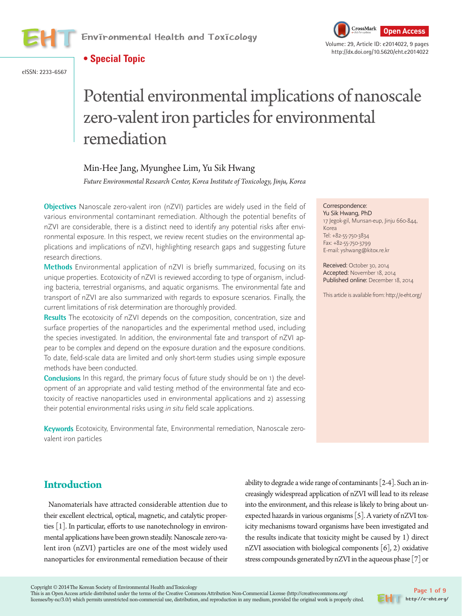





eISSN: 2233-6567

# Potential environmental implications of nanoscale zero-valent iron particles for environmental remediation

## Min-Hee Jang, Myunghee Lim, Yu Sik Hwang

*Future Environmental Research Center, Korea Institute of Toxicology, Jinju, Korea*

**Objectives** Nanoscale zero-valent iron (nZVI) particles are widely used in the field of various environmental contaminant remediation. Although the potential benefits of nZVI are considerable, there is a distinct need to identify any potential risks after environmental exposure. In this respect, we review recent studies on the environmental applications and implications of nZVI, highlighting research gaps and suggesting future research directions.

**Methods** Environmental application of nZVI is briefly summarized, focusing on its unique properties. Ecotoxicity of nZVI is reviewed according to type of organism, including bacteria, terrestrial organisms, and aquatic organisms. The environmental fate and transport of nZVI are also summarized with regards to exposure scenarios. Finally, the current limitations of risk determination are thoroughly provided.

**Results** The ecotoxicity of nZVI depends on the composition, concentration, size and surface properties of the nanoparticles and the experimental method used, including the species investigated. In addition, the environmental fate and transport of nZVI appear to be complex and depend on the exposure duration and the exposure conditions. To date, field-scale data are limited and only short-term studies using simple exposure methods have been conducted.

**Conclusions** In this regard, the primary focus of future study should be on 1) the development of an appropriate and valid testing method of the environmental fate and ecotoxicity of reactive nanoparticles used in environmental applications and 2) assessing their potential environmental risks using in situ field scale applications.

**Keywords** Ecotoxicity, Environmental fate, Environmental remediation, Nanoscale zerovalent iron particles

#### Correspondence:

Yu Sik Hwang, PhD 17 Jegok-gil, Munsan-eup, Jinju 660-844, Korea Tel: +82-55-750-3834 Fax: +82-55-750-3799 E-mail: yshwang@kitox.re.kr

Received: October 30, 2014 Accepted: November 18, 2014 Published online: December 18, 2014

This article is available from: http://e-eht.org/

# **Introduction**

Nanomaterials have attracted considerable attention due to their excellent electrical, optical, magnetic, and catalytic properties [1]. In particular, efforts to use nanotechnology in environmental applications have been grown steadily. Nanoscale zero-valent iron (nZVI) particles are one of the most widely used nanoparticles for environmental remediation because of their ability to degrade a wide range of contaminants [2-4]. Such an increasingly widespread application of nZVI will lead to its release into the environment, and this release is likely to bring about unexpected hazards in various organisms [5]. A variety of nZVI toxicity mechanisms toward organisms have been investigated and the results indicate that toxicity might be caused by 1) direct nZVI association with biological components  $[6]$ , 2) oxidative stress compounds generated by nZVI in the aqueous phase [7] or

Copyright © 2014 The Korean Society of Environmental Health and Toxicology

This is an Open Access article distributed under the terms of the Creative Commons Attribution Non-Commercial License (http://creativecommons.org/ licenses/by-nc/3.0/) which permits unrestricted non-commercial use, distribution, and reproduction in any medium, provided the original work is properly cited.

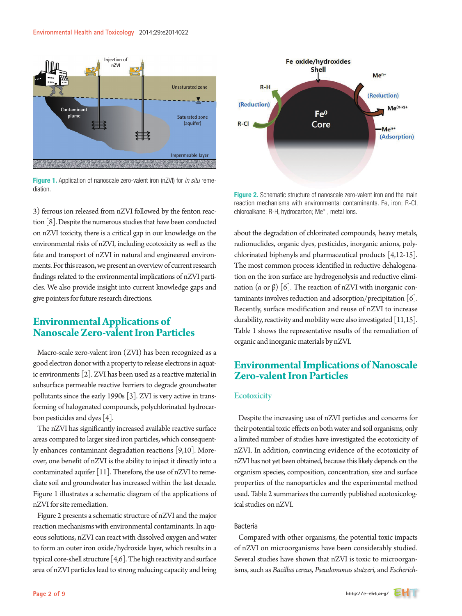

Figure 1. Application of nanoscale zero-valent iron (nZVI) for *in situ* remediation.

3) ferrous ion released from nZVI followed by the fenton reaction [8]. Despite the numerous studies that have been conducted on nZVI toxicity, there is a critical gap in our knowledge on the environmental risks of nZVI, including ecotoxicity as well as the fate and transport of nZVI in natural and engineered environments. For this reason, we present an overview of current research findings related to the environmental implications of nZVI particles. We also provide insight into current knowledge gaps and give pointers for future research directions.

## **Environmental Applications of Nanoscale Zero-valent Iron Particles**

Macro-scale zero-valent iron (ZVI) has been recognized as a good electron donor with a property to release electrons in aquatic environments [2]. ZVI has been used as a reactive material in subsurface permeable reactive barriers to degrade groundwater pollutants since the early 1990s [3]. ZVI is very active in transforming of halogenated compounds, polychlorinated hydrocarbon pesticides and dyes [4].

The nZVI has significantly increased available reactive surface areas compared to larger sized iron particles, which consequently enhances contaminant degradation reactions [9,10]. Moreover, one benefit of nZVI is the ability to inject it directly into a contaminated aquifer [11]. Therefore, the use of nZVI to remediate soil and groundwater has increased within the last decade. Figure 1 illustrates a schematic diagram of the applications of nZVI for site remediation.

Figure 2 presents a schematic structure of nZVI and the major reaction mechanisms with environmental contaminants. In aqueous solutions, nZVI can react with dissolved oxygen and water to form an outer iron oxide/hydroxide layer, which results in a typical core-shell structure [4,6]. The high reactivity and surface area of nZVI particles lead to strong reducing capacity and bring



Figure 2. Schematic structure of nanoscale zero-valent iron and the main reaction mechanisms with environmental contaminants. Fe, iron; R-Cl, chloroalkane; R-H, hydrocarbon; Me<sup>n+</sup>, metal ions.

about the degradation of chlorinated compounds, heavy metals, radionuclides, organic dyes, pesticides, inorganic anions, polychlorinated biphenyls and pharmaceutical products [4,12-15]. The most common process identified in reductive dehalogenation on the iron surface are hydrogenolysis and reductive elimination (α or β) [6]. The reaction of nZVI with inorganic contaminants involves reduction and adsorption/precipitation [6]. Recently, surface modification and reuse of nZVI to increase durability, reactivity and mobility were also investigated  $[11,15]$ . Table 1 shows the representative results of the remediation of organic and inorganic materials by nZVI.

## **Environmental Implications of Nanoscale Zero-valent Iron Particles**

#### **Ecotoxicity**

Despite the increasing use of nZVI particles and concerns for their potential toxic effects on both water and soil organisms, only a limited number of studies have investigated the ecotoxicity of nZVI. In addition, convincing evidence of the ecotoxicity of nZVI has not yet been obtained, because this likely depends on the organism species, composition, concentration, size and surface properties of the nanoparticles and the experimental method used. Table 2 summarizes the currently published ecotoxicological studies on nZVI.

## Bacteria

Compared with other organisms, the potential toxic impacts of nZVI on microorganisms have been considerably studied. Several studies have shown that nZVI is toxic to microorganisms, such as *Bacillus cereus, Pseudomonas stutzeri,* and *Escherich-*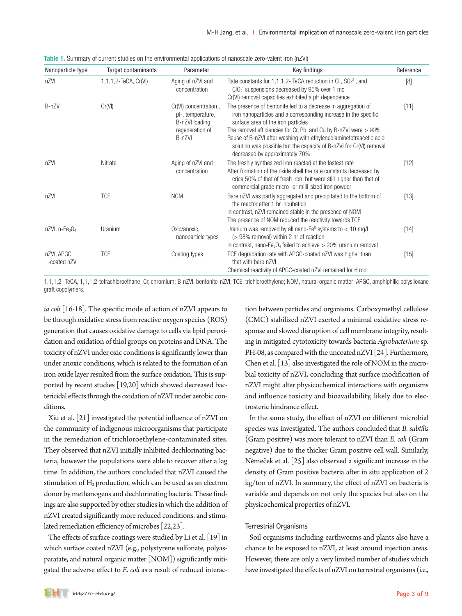| Nanoparticle type                         | Target contaminants  | Parameter                                                                                  | Key findings                                                                                                                                                                                                                                                                                                                                                                                                                 | Reference |
|-------------------------------------------|----------------------|--------------------------------------------------------------------------------------------|------------------------------------------------------------------------------------------------------------------------------------------------------------------------------------------------------------------------------------------------------------------------------------------------------------------------------------------------------------------------------------------------------------------------------|-----------|
| nZVI                                      | 1,1,1,2-TeCA, Cr(VI) | Aging of nZVI and<br>concentration                                                         | Rate constants for $1,1,1,2$ - TeCA reduction in Cl <sup>-</sup> , SO <sub>4</sub> <sup>2-</sup> , and<br>CIO <sub>4</sub> suspensions decreased by 95% over 1 mo<br>Cr(VI) removal capacities exhibited a pH dependence                                                                                                                                                                                                     | [8]       |
| B-nZVI                                    | Cr(VI)               | Cr(VI) concentration.,<br>pH, temperature,<br>B-nZVI loading,<br>regeneration of<br>B-nZVI | The presence of bentonite led to a decrease in aggregation of<br>iron nanoparticles and a corresponding increase in the specific<br>surface area of the iron particles<br>The removal efficiencies for Cr, Pb, and Cu by B-nZVI were $> 90\%$<br>Reuse of B-nZVI after washing with ethylenediaminetetraacetic acid<br>solution was possible but the capacity of B-nZVI for Cr(VI) removal<br>decreased by approximately 70% | [11]      |
| nZVI                                      | Nitrate              | Aging of nZVI and<br>concentration                                                         | The freshly synthesized iron reacted at the fastest rate<br>After formation of the oxide shell the rate constants decreased by<br>crica 50% of that of fresh iron, but were still higher than that of<br>commercial grade micro- or milli-sized iron powder                                                                                                                                                                  | $[12]$    |
| nZVI                                      | <b>TCE</b>           | <b>NOM</b>                                                                                 | Bare nZVI was partly aggregated and precipitated to the bottom of<br>the reactor after 1 hr incubation<br>In contrast, nZVI remained stable in the presence of NOM<br>The presence of NOM reduced the reactivity towards TCE                                                                                                                                                                                                 | [13]      |
| $nZVI$ , n-Fe <sub>3</sub> O <sub>4</sub> | Uranium              | Oxic/anoxic,<br>nanoparticle types                                                         | Uranium was removed by all nano-Fe <sup>0</sup> systems to $<$ 10 mg/L<br>(> 98% removal) within 2 hr of reaction<br>In contrast, nano-Fe <sub>3</sub> O <sub>4</sub> failed to achieve $>$ 20% uranium removal                                                                                                                                                                                                              | $[14]$    |
| nZVI, APGC<br>-coated nZVI                | <b>TCE</b>           | Coating types                                                                              | TCE degradation rate with APGC-coated nZVI was higher than<br>that with bare nZVI<br>Chemical reactivity of APGC-coated nZVI remained for 6 mo                                                                                                                                                                                                                                                                               | $[15]$    |

**Table 1.** Summary of current studies on the environmental applications of nanoscale zero-valent iron (nZVI)

1,1,1,2- TeCA, 1,1,1,2-tetrachloroethane; Cr, chromium; B-nZVI, bentonite-nZVI; TCE, trichloroethylene; NOM, natural organic matter; APGC, amphiphilic polysiloxane graft copolymers.

*ia coli* [16-18]. The specific mode of action of nZVI appears to be through oxidative stress from reactive oxygen species (ROS) generation that causes oxidative damage to cells via lipid peroxidation and oxidation of thiol groups on proteins and DNA. The toxicity of nZVI under oxic conditions is significantly lower than under anoxic conditions, which is related to the formation of an iron oxide layer resulted from the surface oxidation. This is supported by recent studies [19,20] which showed decreased bactericidal effects through the oxidation of nZVI under aerobic conditions.

Xiu et al. [21] investigated the potential influence of nZVI on the community of indigenous microorganisms that participate in the remediation of trichloroethylene-contaminated sites. They observed that nZVI initially inhibited dechlorinating bacteria, however the populations were able to recover after a lag time. In addition, the authors concluded that nZVI caused the stimulation of  $H_2$  production, which can be used as an electron donor by methanogens and dechlorinating bacteria. These findings are also supported by other studies in which the addition of nZVI created significantly more reduced conditions, and stimulated remediation efficiency of microbes [22,23].

The effects of surface coatings were studied by Li et al. [19] in which surface coated nZVI (e.g., polystyrene sulfonate, polyasparatate, and natural organic matter [NOM]) significantly mitigated the adverse effect to *E*. *coli* as a result of reduced interaction between particles and organisms. Carboxymethyl cellulose (CMC) stabilized nZVI exerted a minimal oxidative stress response and slowed disruption of cell membrane integrity, resulting in mitigated cytotoxicity towards bacteria *Agrobacterium* sp*.*  PH-08, as compared with the uncoated nZVI [24]. Furthermore, Chen et al. [13] also investigated the role of NOM in the microbial toxicity of nZVI, concluding that surface modification of nZVI might alter physicochemical interactions with organisms and influence toxicity and bioavailability, likely due to electrosteric hindrance effect.

In the same study, the effect of nZVI on different microbial species was investigated. The authors concluded that *B. subtilis* (Gram positive) was more tolerant to nZVI than *E. coli* (Gram negative) due to the thicker Gram positive cell wall. Similarly, Němeček et al. [25] also observed a significant increase in the density of Gram positive bacteria after in situ application of 2 kg/ton of nZVI. In summary, the effect of nZVI on bacteria is variable and depends on not only the species but also on the physicochemical properties of nZVI.

#### Terrestrial Organisms

Soil organisms including earthworms and plants also have a chance to be exposed to nZVI, at least around injection areas. However, there are only a very limited number of studies which have investigated the effects of nZVI on terrestrial organisms (i.e.,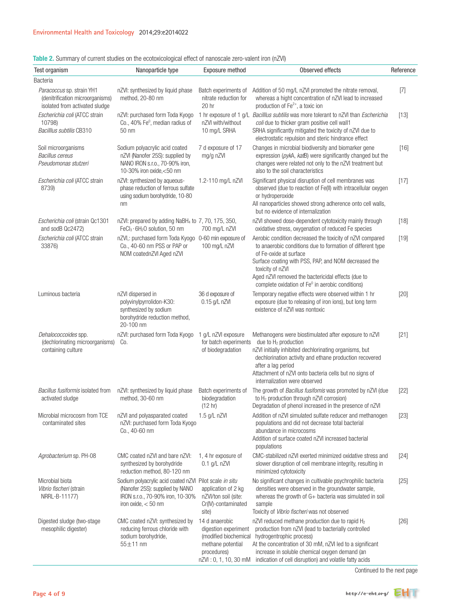| Test organism                                                                                   | Nanoparticle type                                                                                                                                       | Exposure method                                                             | Observed effects                                                                                                                                                                                                                                                                                                                                                     | Reference |
|-------------------------------------------------------------------------------------------------|---------------------------------------------------------------------------------------------------------------------------------------------------------|-----------------------------------------------------------------------------|----------------------------------------------------------------------------------------------------------------------------------------------------------------------------------------------------------------------------------------------------------------------------------------------------------------------------------------------------------------------|-----------|
| Bacteria                                                                                        |                                                                                                                                                         |                                                                             |                                                                                                                                                                                                                                                                                                                                                                      |           |
| Paracoccus sp. strain YH1<br>(denitrification microorganisms)<br>isolated from activated sludge | nZVI: synthesized by liquid phase<br>method, 20-80 nm                                                                                                   | Batch experiments of<br>nitrate reduction for<br>20 hr                      | Addition of 50 mg/L nZVI promoted the nitrate removal,<br>whereas a hight concentration of nZVI lead to increased<br>production of Fe <sup>2+</sup> , a toxic ion                                                                                                                                                                                                    | $[7]$     |
| Escherichia coli (ATCC strain<br>10798)<br>Bacilllus subtilis CB310                             | nZVI: purchased form Toda Kyogo<br>Co., 40% Fe <sup>0</sup> , median radius of<br>50 nm                                                                 | nZVI with/without<br>10 mg/L SRHA                                           | 1 hr exposure of 1 g/L Bacilllus subtilis was more tolerant to nZVI than Escherichia<br>coli due to thicker gram positive cell wall1<br>SRHA significantly mitigated the toxicity of nZVI due to<br>electrostatic repulsion and steric hindrance effect                                                                                                              | $[13]$    |
| Soil microorganisms<br>Bacillus cereus<br>Pseudomonas stutzeri                                  | Sodium polyacrylic acid coated<br>nZVI (Nanofer 25S): supplied by<br>NANO IRON s.r.o., 70-90% iron,<br>10-30% iron oxide, <50 nm                        | 7 d exposure of 17<br>mg/g nZVI                                             | Changes in microbial biodiversity and biomarker gene<br>expression (pykA, katB) were significantly changed but the<br>changes were related not only to the nZVI treatment but<br>also to the soil characteristics                                                                                                                                                    | [16]      |
| Escherichia coli (ATCC strain<br>8739)                                                          | nZVI: synthesized by aqueous-<br>phase reduction of ferrous sulfate<br>using sodium borohydride, 10-80<br>nm                                            | 1.2-110 mg/L nZVI                                                           | Significant physical disruption of cell membranes was<br>observed (due to reaction of Fe(II) with intracellular oxygen<br>or hydroperoxide<br>All nanoparticles showed strong adherence onto cell walls,<br>but no evidence of internalization                                                                                                                       | $[17]$    |
| Escherichia coli (strain Qc1301<br>and sodB Qc2472)                                             | nZVI: prepared by adding NaBH <sub>4</sub> to 7, 70, 175, 350,<br>FeCl <sub>3</sub> · 6H <sub>2</sub> O solution, 50 nm                                 | 700 mg/L nZVI                                                               | nZVI showed dose-dependent cytotoxicity mainly through<br>oxidative stress, oxygenation of reduced Fe species                                                                                                                                                                                                                                                        | $[18]$    |
| Escherichia coli (ATCC strain<br>33876)                                                         | nZVI,: purchased form Toda Kyogo 0-60 min exposure of<br>Co., 40-60 nm PSS or PAP or<br>NOM coatednZVI Aged nZVI                                        | 100 mg/L nZVI                                                               | Aerobic condition decreased the toxicity of nZVI compared<br>to anaerobic conditions due to formation of different type<br>of Fe-oxide at surface<br>Surface coating with PSS, PAP, and NOM decreased the<br>toxicity of nZVI<br>Aged nZVI removed the bactericidal effects (due to<br>complete oxidation of Fe <sup>0</sup> in aerobic conditions)                  | $[19]$    |
| Luminous bacteria                                                                               | nZVI dispersed in<br>polyvinylpyrrolidon-K30:<br>synthesized by sodium<br>borohydride reduction method,<br>20-100 nm                                    | 36 d exposure of<br>0.15 g/L nZVI                                           | Temporary negative effects were observed within 1 hr<br>exposure (due to releasing of iron ions), but long term<br>existence of nZVI was nontoxic                                                                                                                                                                                                                    | $[20]$    |
| Dehalococcoides spp.<br>(dechlorinating microorganisms)<br>containing culture                   | nZVI: purchased form Toda Kyogo<br>Co.                                                                                                                  | 1 g/L nZVI exposure<br>for batch experiments<br>of biodegradation           | Methanogens were biostimulated after exposure to nZVI<br>due to H <sub>2</sub> production<br>nZVI initially inhibited dechlorinating organisms, but<br>dechlorination activity and ethane production recovered<br>after a lag period<br>Attachment of nZVI onto bacteria cells but no signs of<br>internalization were observed                                      | $[21]$    |
| Bacillus fusiformis isolated from<br>activated sludge                                           | nZVI: synthesized by liquid phase<br>method, 30-60 nm                                                                                                   | Batch experiments of<br>biodegradation<br>(12 hr)                           | The growth of Bacillus fusifomis was promoted by nZVI (due<br>to H <sub>2</sub> production through nZVI corrosion)<br>Degradation of phenol increased in the presence of nZVI                                                                                                                                                                                        | $[22]$    |
| Microbial microcosm from TCE<br>contaminated sites                                              | nZVI and polyasparated coated<br>nZVI: purchased form Toda Kyogo<br>Co., 40-60 nm                                                                       | 1.5 g/L nZVI                                                                | Addition of nZVI simulated sulfate reducer and methanogen<br>populations and did not decrease total bacterial<br>abundance in microcosms<br>Addition of surface coated nZVI increased bacterial<br>populations                                                                                                                                                       | $[23]$    |
| Agrobacterium sp. PH-08                                                                         | CMC coated nZVI and bare nZVI:<br>synthesized by borohydride<br>reduction method, 80-120 nm                                                             | 1, 4 hr exposure of<br>$0.1$ g/L nZVI                                       | CMC-stabilized nZVI exerted minimized oxidative stress and<br>slower disruption of cell membrane integrity, resulting in<br>minimized cytotoxicity                                                                                                                                                                                                                   | $[24]$    |
| Microbial biota<br>Vibrio fischeri (strain<br>NRRL-B-11177)                                     | Sodium polyacrylic acid coated nZVI Pilot scale in situ<br>(Nanofer 25S): supplied by NANO<br>IRON s.r.o., 70-90% iron, 10-30%<br>iron oxide, $< 50$ nm | application of 2 kg<br>nZVI/ton soil (site:<br>Cr(IV)-contaminated<br>site) | No significant changes in cultivable psychrophilic bacteria<br>densities were observed in the groundwater sample,<br>whereas the growth of G+ bacteria was simulated in soil<br>sample<br>Toxicity of Vibrio fischeri was not observed                                                                                                                               | $[25]$    |
| Digested sludge (two-stage<br>mesophilic digester)                                              | CMC coated nZVI: synthesized by<br>reducing ferrous chloride with<br>sodium borohydride,<br>$55±11$ nm                                                  | 14 d anaerobic<br>digestion experiment<br>methane potential<br>procedures)  | nZVI reduced methane production due to rapid H <sub>2</sub><br>production from nZVI (lead to bacterially controlled<br>(modified biochemical hydrogentrophic process)<br>At the concentration of 30 mM, nZVI led to a significant<br>increase in soluble chemical oxygen demand (an<br>nZVI: 0, 1, 10, 30 mM indication of cell disruption) and volatile fatty acids | $[26]$    |

Table 2. Summary of current studies on the ecotoxicological effect of nanoscale zero-valent iron (nZVI)

Continued to the next page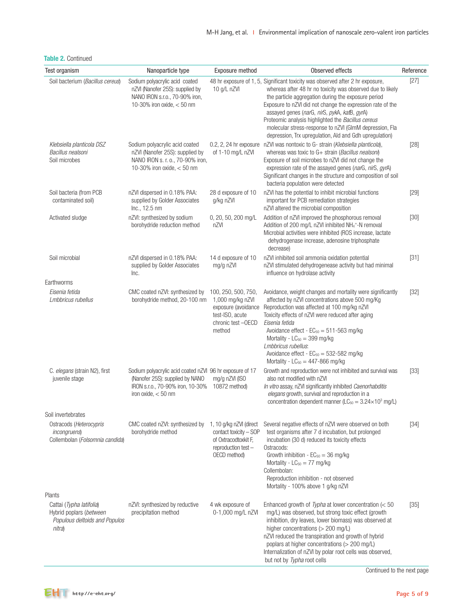| Test organism                                                                                  | Nanoparticle type                                                                                                                                        | Exposure method                                                                                                   | Observed effects                                                                                                                                                                                                                                                                                                                                                                                                                                                                              | Reference |
|------------------------------------------------------------------------------------------------|----------------------------------------------------------------------------------------------------------------------------------------------------------|-------------------------------------------------------------------------------------------------------------------|-----------------------------------------------------------------------------------------------------------------------------------------------------------------------------------------------------------------------------------------------------------------------------------------------------------------------------------------------------------------------------------------------------------------------------------------------------------------------------------------------|-----------|
| Soil bacterium (Bacillus cereus)                                                               | Sodium polyacrylic acid coated<br>nZVI (Nanofer 25S): supplied by<br>NANO IRON s.r.o., 70-90% iron,<br>10-30% iron oxide, $<$ 50 nm                      | 10 g/L nZVI                                                                                                       | 48 hr exposure of 1, 5, Significant toxicity was observed after 2 hr exposure,<br>whereas after 48 hr no toxicity was observed due to likely<br>the particle aggregation during the exposure period<br>Exposure to nZVI did not change the expression rate of the<br>assayed genes (narG, nirS, pykA, katB, gyrA)<br>Proteomic analysis highlighted the Bacillus cereus<br>molecular stress-response to nZVI (GImM depression, Fla<br>depression, Trx upregulation, Ald and Gdh upregulation) | $[27]$    |
| Klebsiella planticola DSZ<br>Bacillus nealsoni<br>Soil microbes                                | Sodium polyacrylic acid coated<br>nZVI (Nanofer 25S): supplied by<br>NANO IRON s. r. o., 70-90% iron,<br>10-30% iron oxide, $<$ 50 nm                    | of 1-10 mg/L nZVI                                                                                                 | 0.2, 2, 24 hr exposure nZVI was nontoxic to G- strain (Klebsiella planticola),<br>whereas was toxic to G+ strain (Bacillus nealson)<br>Exposure of soil microbes to nZVI did not change the<br>expression rate of the assayed genes (narG, nirS, gyrA)<br>Significant changes in the structure and composition of soil<br>bacteria population were detected                                                                                                                                   | $[28]$    |
| Soil bacteria (from PCB<br>contaminated soil)                                                  | nZVI dispersed in 0.18% PAA:<br>supplied by Golder Associates<br>Inc., 12.5 nm                                                                           | 28 d exposure of 10<br>g/kg nZVI                                                                                  | nZVI has the potential to inhibit microbial functions<br>important for PCB remediation strategies<br>nZVI altered the microbial composition                                                                                                                                                                                                                                                                                                                                                   | $[29]$    |
| Activated sludge                                                                               | nZVI: synthesized by sodium<br>borohydride reduction method                                                                                              | 0, 20, 50, 200 mg/L<br>nZVI                                                                                       | Addition of nZVI improved the phosphorous removal<br>Addition of 200 mg/L nZVI inhibited NH <sub>4</sub> +-N removal<br>Microbial activities were inhibited (ROS increase, lactate<br>dehydrogenase increase, adenosine triphosphate<br>decrease)                                                                                                                                                                                                                                             | $[30]$    |
| Soil microbial                                                                                 | nZVI dispersed in 0.18% PAA:<br>supplied by Golder Associates<br>Inc.                                                                                    | 14 d exposure of 10<br>mg/g nZVI                                                                                  | nZVI inhibited soil ammonia oxidation potential<br>nZVI stimulated dehydrogenease activity but had minimal<br>influence on hydrolase activity                                                                                                                                                                                                                                                                                                                                                 | $[31]$    |
| Earthworms                                                                                     |                                                                                                                                                          |                                                                                                                   |                                                                                                                                                                                                                                                                                                                                                                                                                                                                                               |           |
| Eisenia fetida<br>Lmbbricus rubellus                                                           | CMC coated nZVI: synthesized by<br>borohydride method, 20-100 nm                                                                                         | 100, 250, 500, 750,<br>1,000 mg/kg nZVI<br>exposure (avoidance<br>test-ISO, acute<br>chronic test -OECD<br>method | Avoidance, weight changes and mortality were significantly<br>affected by nZVI concentrations above 500 mg/Kg<br>Reproduction was affected at 100 mg/kg nZVI<br>Toxicity effects of nZVI were reduced after aging<br>Eisenia fetida<br>Avoidance effect - $EC_{50} = 511 - 563$ mg/kg<br>Mortality - $LC_{50} = 399$ mg/kg<br>Lmbbricus rubellus:<br>Avoidance effect - EC <sub>50</sub> = 532-582 mg/kg<br>Mortality - $LC_{50} = 447 - 866$ mg/kg                                           | $[32]$    |
| C. elegans (strain N2), first<br>juvenile stage                                                | Sodium polyacrylic acid coated nZVI 96 hr exposure of 17<br>(Nanofer 25S): supplied by NANO<br>IRON s.r.o., 70-90% iron, 10-30%<br>iron oxide, $<$ 50 nm | mg/g nZVI (ISO<br>10872 method)                                                                                   | Growth and reproduction were not inhibited and survival was<br>also not modified with nZVI<br>In vitro assay, nZVI significantly inhibited Caenorhabditis<br>elegans growth, survival and reproduction in a<br>concentration dependent manner ( $LC_{50} = 3.24 \times 10^3$ mg/L)                                                                                                                                                                                                            | $[33]$    |
| Soil invertebrates                                                                             |                                                                                                                                                          |                                                                                                                   |                                                                                                                                                                                                                                                                                                                                                                                                                                                                                               |           |
| Ostracods (Heterocypris<br>incongruens)<br>Collembolan (Folsomnia candida)                     | CMC coated nZVI: synthesized by<br>borohydride method                                                                                                    | 1, 10 g/kg nZVI (direct<br>contact toxicity - SOP<br>of Oxtracodtoxkit F,<br>reproduction test -<br>OECD method)  | Several negative effects of nZVI were observed on both<br>test organisms after 7 d incubation, but prolonged<br>incubation (30 d) reduced its toxicity effects<br>Ostracods:<br>Growth inhibition - $EC_{50} = 36$ mg/kg<br>Mortality - LC <sub>50</sub> = 77 mg/kg<br>Collembolan:<br>Reproduction inhibition - not observed<br>Mortality - 100% above 1 g/kg nZVI                                                                                                                           | $[34]$    |
| Plants                                                                                         |                                                                                                                                                          |                                                                                                                   |                                                                                                                                                                                                                                                                                                                                                                                                                                                                                               |           |
| Cattai (Typha latifolia)<br>Hybrid poplars (between<br>Populous deltoids and Populos<br>nitra) | nZVI: synthesized by reductive<br>precipitation method                                                                                                   | 4 wk exposure of<br>0-1,000 mg/L nZVI                                                                             | Enhanced growth of Typha at lower concentration $(< 50$<br>mg/L) was observed, but strong toxic effect (growth<br>inhibition, dry leaves, lower biomass) was observed at<br>higher concentrations (> 200 mg/L)<br>nZVI reduced the transpiration and growth of hybrid<br>poplars at higher concentrations (> 200 mg/L)<br>Internalization of nZVI by polar root cells was observed,<br>but not by Typha root cells                                                                            | $[35]$    |

## Table 2. Continued

Continued to the next page

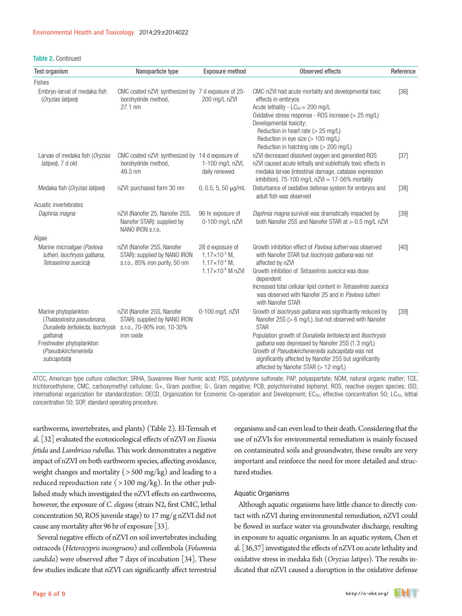#### Table 2. Continued

| Test organism                                                                                                                                                             | Nanoparticle type                                                                                       | Exposure method                                                                                      | Observed effects                                                                                                                                                                                                                                                                                                                                                                                                    | Reference |
|---------------------------------------------------------------------------------------------------------------------------------------------------------------------------|---------------------------------------------------------------------------------------------------------|------------------------------------------------------------------------------------------------------|---------------------------------------------------------------------------------------------------------------------------------------------------------------------------------------------------------------------------------------------------------------------------------------------------------------------------------------------------------------------------------------------------------------------|-----------|
| <b>Fishes</b>                                                                                                                                                             |                                                                                                         |                                                                                                      |                                                                                                                                                                                                                                                                                                                                                                                                                     |           |
| Embryo-larval of medaka fish<br>(Oryzias latipes)                                                                                                                         | CMC coated nZVI: synthesized by 7 d exposure of 25-<br>borohydride method,<br>27.1 nm                   | 200 mg/L nZVI                                                                                        | CMC-nZVI had acute mortality and developmental toxic<br>effects in embryos<br>Acute lethality - LC <sub>50</sub> = 200 mg/L<br>Oxidative stress response - ROS increase (> 25 mg/L)<br>Developmental toxicity:<br>Reduction in heart rate $(> 25 \text{ mg/L})$<br>Reduction in eye size (> 100 mg/L)<br>Reduction in hatching rate (> 200 mg/L)                                                                    | $[36]$    |
| Larvae of medaka fish (Oryzias<br>latipes), 7 d old                                                                                                                       | CMC coated nZVI: synthesized by 14 d exposure of<br>borohydride method,<br>49.3 nm                      | 1-100 mg/L nZVI,<br>daily renewed                                                                    | nZVI decreased dissolved oxygen and generated ROS<br>nZVI caused acute lethally and sublethally toxic effects in<br>medaka larvae (intestinal damage, catalase expression<br>inhibition). 75-100 mg/L $nZVI = 17-56%$ mortality                                                                                                                                                                                     | $[37]$    |
| Medaka fish (Oryzias latipes)                                                                                                                                             | nZVI: purchased form 30 nm                                                                              | $0, 0.5, 5, 50 \mu g/mL$                                                                             | Disturbance of oxidative defense system for embryos and<br>adult fish was observed                                                                                                                                                                                                                                                                                                                                  | $[38]$    |
| Acuatic invertebrates                                                                                                                                                     |                                                                                                         |                                                                                                      |                                                                                                                                                                                                                                                                                                                                                                                                                     |           |
| Daphnia magna                                                                                                                                                             | nZVI (Nanofer 25, Nanofer 25S,<br>Nanofer STAR): supplied by<br>NANO IRON S.r.o.                        | 96 hr exposure of<br>0-100 mg/L nZVI                                                                 | Daphnia magna survival was dramatically impacted by<br>both Nanofer 25S and Nanofer STAR at > 0.5 mg/L nZVI                                                                                                                                                                                                                                                                                                         | $[39]$    |
| Algae                                                                                                                                                                     |                                                                                                         |                                                                                                      |                                                                                                                                                                                                                                                                                                                                                                                                                     |           |
| Marine microalgae (Pavlova<br>lutheri, Isochrysis galbana,<br>Tetraselmis suecica)                                                                                        | nZVI (Nanofer 25S, Nanofer<br>STAR): supplied by NANO IRON<br>s.r.o., 85% iron purity, 50 nm            | 28 d exposure of<br>$1.17\times10^{-5}$ M,<br>$1.17\times10^{-4}$ M,<br>1.17×10 <sup>-6</sup> M nZVI | Growth inhibition effect of Paylova lutheri was observed<br>with Nanofer STAR but Isochrysis galbana was not<br>affected by nZVI<br>Growth inhibition of Tetraselmis suecica was dose<br>dependent<br>Increased total cellular lipid content in Tetraselmis suecica<br>was observed with Nanofer 25 and in Paylova lutheri<br>with Nanofer STAR                                                                     | [40]      |
| Marine phytoplankton<br>(Thalassiosira pseudonana,<br>Dunaliella tertiolecta, Isochrysis<br>galbana)<br>Freshwater phytoplankton<br>(Pseudokircheneriella<br>subcapitata) | nZVI (Nanofer 25S, Nanofer<br>STAR): supplied by NANO IRON<br>s.r.o., 70-90% iron, 10-30%<br>iron oxide | 0-100 mg/L nZVI                                                                                      | Growth of <i>Isochrysis galbana</i> was significantly reduced by<br>Nanofer 25S (> 6 mg/L), but not observed with Nanofer<br><b>STAR</b><br>Population growth of Dunaliella tertiolecta and Ilsochrysis<br>galbana was depressed by Nanofer 25S (1.3 mg/L)<br>Growth of Pseudokircheneriella subcapitata was not<br>significantly affected by Nanofer 25S but significantly<br>affected by Nanofer STAR (> 12 mg/L) | $[39]$    |

ATCC, American type culture collection; SRHA, Suwannee River humic acid; PSS, polystyrene sulfonate; PAP, polyaspartate; NOM, natural organic matter; TCE, trichloroethylene; CMC, carboxymethyl cellulose; G+, Gram positive; G-, Gram negative; PCB, polychlorinated biphenyl; ROS, reactive oxygen species; ISO, international organization for standardization; OECD, Organization for Economic Co-operation and Development;  $EC_{50}$ , effective concentration 50;  $LC_{50}$ , lethal concentration 50; SOP, standard operating procedure.

earthworms, invertebrates, and plants) (Table 2). El-Temsah et al. [32] evaluated the ecotoxicological effects of nZVI on *Eisenia fetida* and *Lumbricus rubellus*. This work demonstrates a negative impact of nZVI on both earthworm species, affecting avoidance, weight changes and mortality ( > 500 mg/kg) and leading to a reduced reproduction rate ( $>100$  mg/kg). In the other published study which investigated the nZVI effects on earthworms, however, the exposure of *C. elegans* (strain N2, first CMC, lethal concentration 50, ROS juvenile stage) to 17 mg/g nZVI did not cause any mortality after 96 hr of exposure [33].

Several negative effects of nZVI on soil invertebrates including ostracods (*Heterocypris incongruens*) and collembola (*Folsomnia candida*) were observed after 7 days of incubation [34]. These few studies indicate that nZVI can significantly affect terrestrial

organisms and can even lead to their death. Considering that the use of nZVIs for environmental remediation is mainly focused on contaminated soils and groundwater, these results are very important and reinforce the need for more detailed and structured studies.

#### Aquatic Organisms

Although aquatic organisms have little chance to directly contact with nZVI during environmental remediation, nZVI could be flowed in surface water via groundwater discharge, resulting in exposure to aquatic organisms. In an aquatic system, Chen et al. [36,37] investigated the effects of nZVI on acute lethality and oxidative stress in medaka fish (*Oryzias latipes*). The results indicated that nZVI caused a disruption in the oxidative defense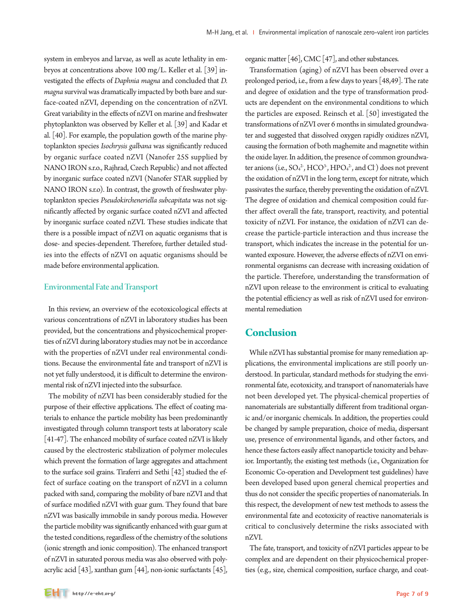system in embryos and larvae, as well as acute lethality in embryos at concentrations above 100 mg/L. Keller et al. [39] investigated the effects of *Daphnia magna* and concluded that *D. magna* survival was dramatically impacted by both bare and surface-coated nZVI, depending on the concentration of nZVI. Great variability in the effects of nZVI on marine and freshwater phytoplankton was observed by Keller et al. [39] and Kadar et al. [40]. For example, the population gowth of the marine phytoplankton species *Isochrysis galbana* was significantly reduced by organic surface coated nZVI (Nanofer 25S supplied by NANO IRON s.r.o., Rajhrad, Czech Republic) and not affected by inorganic surface coated nZVI (Nanofer STAR supplied by NANO IRON s.r.o). In contrast, the growth of freshwater phytoplankton species *Pseudokircheneriella subcapitata* was not significantly affected by organic surface coated nZVI and affected by inorganic surface coated nZVI. These studies indicate that there is a possible impact of nZVI on aquatic organisms that is dose- and species-dependent. Therefore, further detailed studies into the effects of nZVI on aquatic organisms should be made before environmental application.

#### Environmental Fate and Transport

In this review, an overview of the ecotoxicological effects at various concentrations of nZVI in laboratory studies has been provided, but the concentrations and physicochemical properties of nZVI during laboratory studies may not be in accordance with the properties of nZVI under real environmental conditions. Because the environmental fate and transport of nZVI is not yet fully understood, it is difficult to determine the environmental risk of nZVI injected into the subsurface.

The mobility of nZVI has been considerably studied for the purpose of their effective applications. The effect of coating materials to enhance the particle mobility has been predominantly investigated through column transport tests at laboratory scale [41-47]. The enhanced mobility of surface coated nZVI is likely caused by the electrosteric stabilization of polymer molecules which prevent the formation of large aggregates and attachment to the surface soil grains. Tiraferri and Sethi [42] studied the effect of surface coating on the transport of nZVI in a column packed with sand, comparing the mobility of bare nZVI and that of surface modified nZVI with guar gum. They found that bare nZVI was basically immobile in sandy porous media. However the particle mobility was significantly enhanced with guar gum at the tested conditions, regardless of the chemistry of the solutions (ionic strength and ionic composition). The enhanced transport of nZVI in saturated porous media was also observed with polyacrylic acid [43], xanthan gum [44], non-ionic surfactants [45], organic matter [46], CMC [47], and other substances.

Transformation (aging) of nZVI has been observed over a prolonged period, i.e., from a few days to years [48,49]. The rate and degree of oxidation and the type of transformation products are dependent on the environmental conditions to which the particles are exposed. Reinsch et al. [50] investigated the transformations of nZVI over 6 months in simulated groundwater and suggested that dissolved oxygen rapidly oxidizes nZVI, causing the formation of both maghemite and magnetite within the oxide layer. In addition, the presence of common groundwater anions (i.e.,  $SO_4^2$ ,  $HCO^3$ ,  $HPO_4^2$ , and Cl) does not prevent the oxidation of nZVI in the long term, except for nitrate, which passivates the surface, thereby preventing the oxidation of nZVI. The degree of oxidation and chemical composition could further affect overall the fate, transport, reactivity, and potential toxicity of nZVI. For instance, the oxidation of nZVI can decrease the particle-particle interaction and thus increase the transport, which indicates the increase in the potential for unwanted exposure. However, the adverse effects of nZVI on environmental organisms can decrease with increasing oxidation of the particle. Therefore, understanding the transformation of nZVI upon release to the environment is critical to evaluating the potential efficiency as well as risk of nZVI used for environmental remediation

## **Conclusion**

While nZVI has substantial promise for many remediation applications, the environmental implications are still poorly understood. In particular, standard methods for studying the environmental fate, ecotoxicity, and transport of nanomaterials have not been developed yet. The physical-chemical properties of nanomaterials are substantially different from traditional organic and/or inorganic chemicals. In addition, the properties could be changed by sample preparation, choice of media, dispersant use, presence of environmental ligands, and other factors, and hence these factors easily affect nanoparticle toxicity and behavior. Importantly, the existing test methods (i.e., Organization for Economic Co-operation and Development test guidelines) have been developed based upon general chemical properties and thus do not consider the specific properties of nanomaterials. In this respect, the development of new test methods to assess the environmental fate and ecotoxicity of reactive nanomaterials is critical to conclusively determine the risks associated with nZVI.

The fate, transport, and toxicity of nZVI particles appear to be complex and are dependent on their physicochemical properties (e.g., size, chemical composition, surface charge, and coat-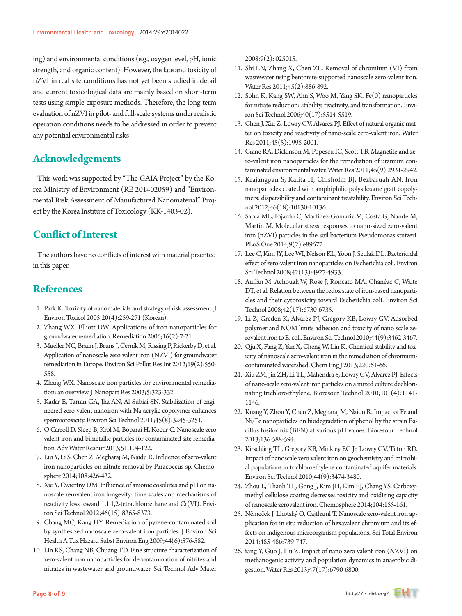ing) and environmental conditions (e.g., oxygen level, pH, ionic strength, and organic content). However, the fate and toxicity of nZVI in real site conditions has not yet been studied in detail and current toxicological data are mainly based on short-term tests using simple exposure methods. Therefore, the long-term evaluation of nZVI in pilot- and full-scale systems under realistic operation conditions needs to be addressed in order to prevent any potential environmental risks

## **Acknowledgements**

This work was supported by "The GAIA Project" by the Korea Ministry of Environment (RE 201402059) and "Environmental Risk Assessment of Manufactured Nanomaterial" Project by the Korea Institute of Toxicology (KK-1403-02).

# **Conflict of Interest**

The authors have no conflicts of interest with material prsented in this paper.

# **References**

- 1. Park K. Toxicity of nanomaterials and strategy of risk assessment. J Environ Toxicol 2005;20(4):259-271 (Korean).
- 2. Zhang WX. Elliott DW. Applications of iron nanoparticles for groundwater remediation. Remediation 2006;16(2):7-21.
- 3. Mueller NC, Braun J, Bruns J, Černík M, Rissing P, Rickerby D, et al. Application of nanoscale zero valent iron (NZVI) for groundwater remediation in Europe. Environ Sci Pollut Res Int 2012;19(2):550- 558.
- 4. Zhang WX. Nanoscale iron particles for environmental remediation: an overview. J Nanopart Res 2003;5:323-332.
- 5. Kadar E, Tarran GA, Jha AN, Al-Subiai SN. Stabilization of engineered zero-valent nanoiron with Na-acrylic copolymer enhances spermiotoxicity. Environ Sci Technol 2011;45(8):3245-3251.
- 6. O'Carroll D, Sleep B, Krol M, Boparai H, Kocur C. Nanoscale zero valent iron and bimetallic particles for contaminated site remediation. Adv Water Resour 2013;51:104-122.
- 7. Liu Y, Li S, Chen Z, Megharaj M, Naidu R. Influence of zero-valent iron nanoparticles on nitrate removal by Paracoccus sp. Chemosphere 2014;108:426-432.
- 8. Xie Y, Cwiertny DM. Influence of anionic cosolutes and pH on nanoscale zerovalent iron longevity: time scales and mechanisms of reactivity loss toward 1,1,1,2-tetrachloroethane and Cr(VI). Environ Sci Technol 2012;46(15):8365-8373.
- 9. Chang MC, Kang HY. Remediation of pyrene-contaminated soil by synthesized nanoscale zero-valent iron particles. J Environ Sci Health A Tox Hazard Subst Environ Eng 2009;44(6):576-582.
- 10. Lin KS, Chang NB, Chuang TD. Fine structure characterization of zero-valent iron nanoparticles for decontamination of nitrites and nitrates in wastewater and groundwater. Sci Technol Adv Mater

2008;9(2): 025015.

- 11. Shi LN, Zhang X, Chen ZL. Removal of chromium (VI) from wastewater using bentonite-supported nanoscale zero-valent iron. Water Res 2011;45(2):886-892.
- 12. Sohn K, Kang SW, Ahn S, Woo M, Yang SK. Fe(0) nanoparticles for nitrate reduction: stability, reactivity, and transformation. Environ Sci Technol 2006;40(17):5514-5519.
- 13. Chen J, Xiu Z, Lowry GV, Alvarez PJ. Effect of natural organic matter on toxicity and reactivity of nano-scale zero-valent iron. Water Res 2011;45(5):1995-2001.
- 14. Crane RA, Dickinson M, Popescu IC, Scott TB. Magnetite and zero-valent iron nanoparticles for the remediation of uranium contaminated environmental water. Water Res 2011;45(9):2931-2942.
- 15. Krajangpan S, Kalita H, Chisholm BJ, Bezbaruah AN. Iron nanoparticles coated with amphiphilic polysiloxane graft copolymers: dispersibility and contaminant treatability. Environ Sci Technol 2012;46(18):10130-10136.
- 16. Saccà ML, Fajardo C, Martinez-Gomariz M, Costa G, Nande M, Martin M. Molecular stress responses to nano-sized zero-valent iron (nZVI) particles in the soil bacterium Pseudomonas stutzeri. PLoS One 2014;9(2):e89677.
- 17. Lee C, Kim JY, Lee WI, Nelson KL, Yoon J, Sedlak DL. Bactericidal effect of zero-valent iron nanoparticles on Escherichia coli. Environ Sci Technol 2008;42(13):4927-4933.
- 18. Auffan M, Achouak W, Rose J, Roncato MA, Chanéac C, Waite DT, et al. Relation between the redox state of iron-based nanoparticles and their cytotoxicity toward Escherichia coli. Environ Sci Technol 2008;42(17):6730-6735.
- 19. Li Z, Greden K, Alvarez PJ, Gregory KB, Lowry GV. Adsorbed polymer and NOM limits adhesion and toxicity of nano scale zerovalent iron to E. coli. Environ Sci Technol 2010;44(9):3462-3467.
- 20. Qiu X, Fang Z, Yan X, Cheng W, Lin K. Chemical stability and toxicity of nanoscale zero-valent iron in the remediation of chromiumcontaminated watershed. Chem Eng J 2013;220:61-66.
- 21. Xiu ZM, Jin ZH, Li TL, Mahendra S, Lowry GV, Alvarez PJ. Effects of nano-scale zero-valent iron particles on a mixed culture dechlorinating trichloroethylene. Bioresour Technol 2010;101(4):1141- 1146.
- 22. Kuang Y, Zhou Y, Chen Z, Megharaj M, Naidu R. Impact of Fe and Ni/Fe nanoparticles on biodegradation of phenol by the strain Bacillus fusiformis (BFN) at various pH values. Bioresour Technol 2013;136:588-594.
- 23. Kirschling TL, Gregory KB, Minkley EG Jr, Lowry GV, Tilton RD. Impact of nanoscale zero valent iron on geochemistry and microbial populations in trichloroethylene contaminated aquifer materials. Environ Sci Technol 2010;44(9):3474-3480.
- 24. Zhou L, Thanh TL, Gong J, Kim JH, Kim EJ, Chang YS. Carboxymethyl cellulose coating decreases toxicity and oxidizing capacity of nanoscale zerovalent iron. Chemosphere 2014;104:155-161.
- 25. Němeček J, Lhotský O, Cajthaml T. Nanoscale zero-valent iron application for in situ reduction of hexavalent chromium and its effects on indigenous microorganism populations. Sci Total Environ 2014;485-486:739-747.
- 26. Yang Y, Guo J, Hu Z. Impact of nano zero valent iron (NZVI) on methanogenic activity and population dynamics in anaerobic digestion. Water Res 2013;47(17):6790-6800.